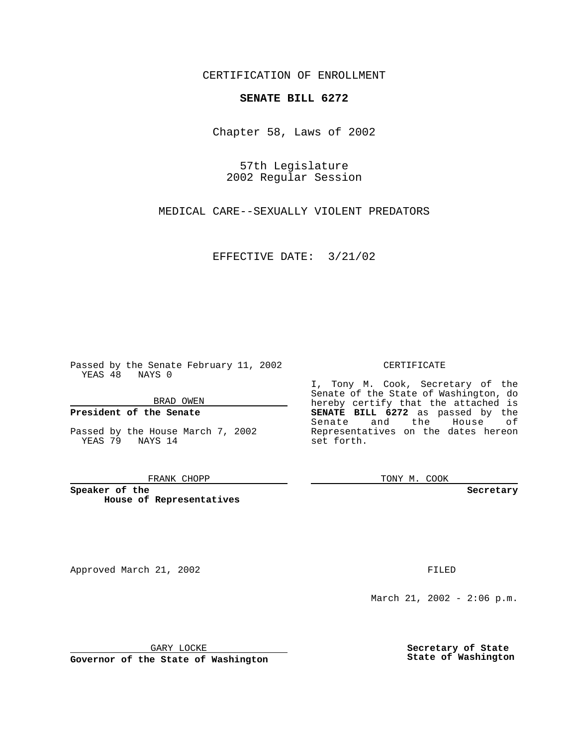CERTIFICATION OF ENROLLMENT

## **SENATE BILL 6272**

Chapter 58, Laws of 2002

57th Legislature 2002 Regular Session

MEDICAL CARE--SEXUALLY VIOLENT PREDATORS

EFFECTIVE DATE: 3/21/02

Passed by the Senate February 11, 2002 YEAS 48 NAYS 0

BRAD OWEN

### **President of the Senate**

Passed by the House March 7, 2002 YEAS 79 NAYS 14

#### FRANK CHOPP

**Speaker of the House of Representatives**

Approved March 21, 2002 **FILED** 

#### CERTIFICATE

I, Tony M. Cook, Secretary of the Senate of the State of Washington, do hereby certify that the attached is **SENATE BILL 6272** as passed by the Senate and the House of Representatives on the dates hereon set forth.

TONY M. COOK

**Secretary**

March 21, 2002 - 2:06 p.m.

GARY LOCKE

**Governor of the State of Washington**

**Secretary of State State of Washington**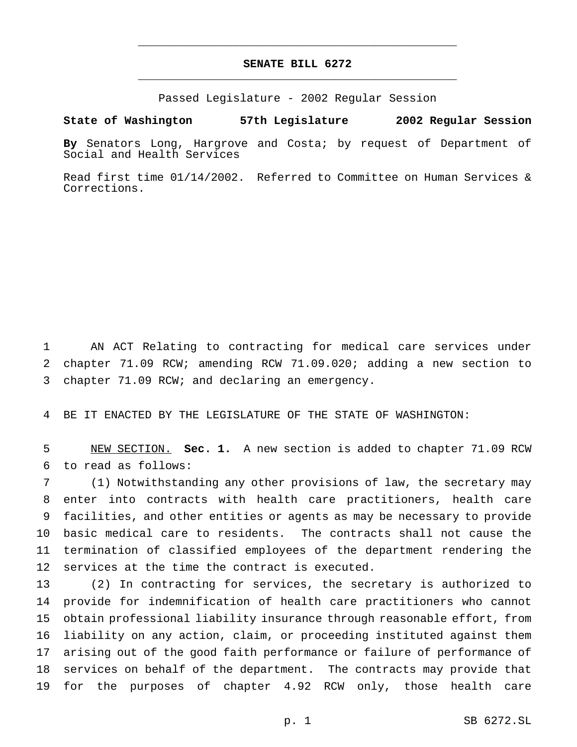# **SENATE BILL 6272** \_\_\_\_\_\_\_\_\_\_\_\_\_\_\_\_\_\_\_\_\_\_\_\_\_\_\_\_\_\_\_\_\_\_\_\_\_\_\_\_\_\_\_\_\_\_\_

\_\_\_\_\_\_\_\_\_\_\_\_\_\_\_\_\_\_\_\_\_\_\_\_\_\_\_\_\_\_\_\_\_\_\_\_\_\_\_\_\_\_\_\_\_\_\_

Passed Legislature - 2002 Regular Session

### **State of Washington 57th Legislature 2002 Regular Session**

**By** Senators Long, Hargrove and Costa; by request of Department of Social and Health Services

Read first time 01/14/2002. Referred to Committee on Human Services & Corrections.

 AN ACT Relating to contracting for medical care services under chapter 71.09 RCW; amending RCW 71.09.020; adding a new section to chapter 71.09 RCW; and declaring an emergency.

BE IT ENACTED BY THE LEGISLATURE OF THE STATE OF WASHINGTON:

 NEW SECTION. **Sec. 1.** A new section is added to chapter 71.09 RCW to read as follows:

 (1) Notwithstanding any other provisions of law, the secretary may enter into contracts with health care practitioners, health care facilities, and other entities or agents as may be necessary to provide basic medical care to residents. The contracts shall not cause the termination of classified employees of the department rendering the services at the time the contract is executed.

 (2) In contracting for services, the secretary is authorized to provide for indemnification of health care practitioners who cannot obtain professional liability insurance through reasonable effort, from liability on any action, claim, or proceeding instituted against them arising out of the good faith performance or failure of performance of services on behalf of the department. The contracts may provide that for the purposes of chapter 4.92 RCW only, those health care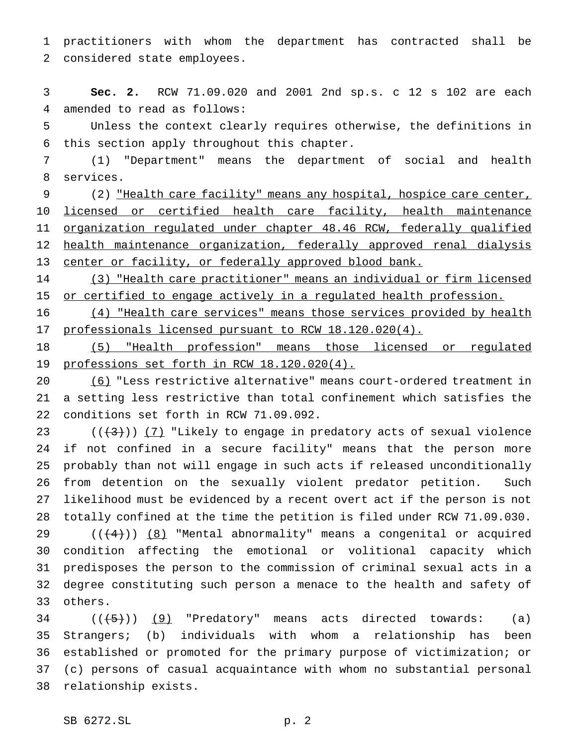practitioners with whom the department has contracted shall be considered state employees.

 **Sec. 2.** RCW 71.09.020 and 2001 2nd sp.s. c 12 s 102 are each amended to read as follows:

 Unless the context clearly requires otherwise, the definitions in this section apply throughout this chapter.

 (1) "Department" means the department of social and health services.

9 (2) "Health care facility" means any hospital, hospice care center, licensed or certified health care facility, health maintenance organization regulated under chapter 48.46 RCW, federally qualified health maintenance organization, federally approved renal dialysis 13 center or facility, or federally approved blood bank.

 (3) "Health care practitioner" means an individual or firm licensed 15 or certified to engage actively in a regulated health profession.

 (4) "Health care services" means those services provided by health professionals licensed pursuant to RCW 18.120.020(4).

 (5) "Health profession" means those licensed or regulated professions set forth in RCW 18.120.020(4).

 (6) "Less restrictive alternative" means court-ordered treatment in a setting less restrictive than total confinement which satisfies the conditions set forth in RCW 71.09.092.

 $((+3))$   $(7)$  "Likely to engage in predatory acts of sexual violence if not confined in a secure facility" means that the person more probably than not will engage in such acts if released unconditionally from detention on the sexually violent predator petition. Such likelihood must be evidenced by a recent overt act if the person is not totally confined at the time the petition is filed under RCW 71.09.030.  $((+4))$   $(8)$  "Mental abnormality" means a congenital or acquired condition affecting the emotional or volitional capacity which predisposes the person to the commission of criminal sexual acts in a degree constituting such person a menace to the health and safety of others.

  $((\frac{1}{5})$   $(9)$  "Predatory" means acts directed towards: (a) Strangers; (b) individuals with whom a relationship has been established or promoted for the primary purpose of victimization; or (c) persons of casual acquaintance with whom no substantial personal relationship exists.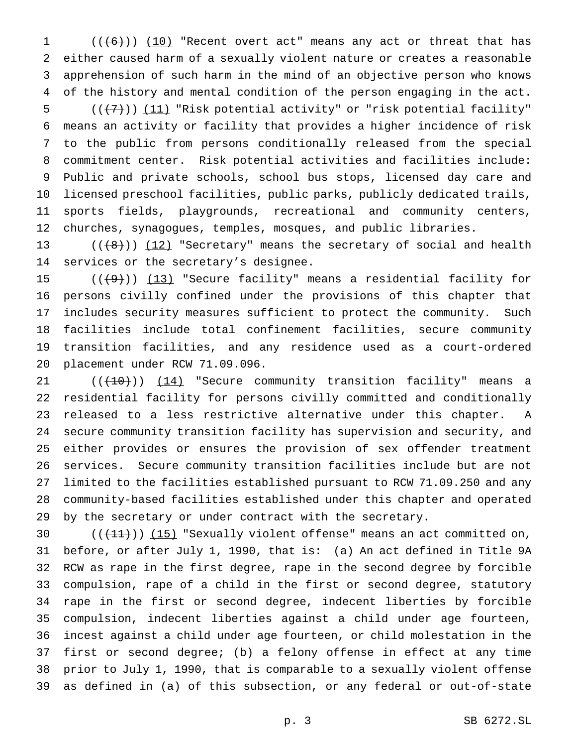(( $(6)$ )) (10) "Recent overt act" means any act or threat that has either caused harm of a sexually violent nature or creates a reasonable apprehension of such harm in the mind of an objective person who knows of the history and mental condition of the person engaging in the act.

 $((+7))$   $(11)$  "Risk potential activity" or "risk potential facility" means an activity or facility that provides a higher incidence of risk to the public from persons conditionally released from the special commitment center. Risk potential activities and facilities include: Public and private schools, school bus stops, licensed day care and licensed preschool facilities, public parks, publicly dedicated trails, sports fields, playgrounds, recreational and community centers, churches, synagogues, temples, mosques, and public libraries.

13  $((\{8\}) \ (12)$  "Secretary" means the secretary of social and health services or the secretary's designee.

 $((+9))$   $(13)$  "Secure facility" means a residential facility for persons civilly confined under the provisions of this chapter that includes security measures sufficient to protect the community. Such facilities include total confinement facilities, secure community transition facilities, and any residence used as a court-ordered placement under RCW 71.09.096.

21 ((<del>(10)</del>)) (14) "Secure community transition facility" means a residential facility for persons civilly committed and conditionally released to a less restrictive alternative under this chapter. A secure community transition facility has supervision and security, and either provides or ensures the provision of sex offender treatment services. Secure community transition facilities include but are not limited to the facilities established pursuant to RCW 71.09.250 and any community-based facilities established under this chapter and operated by the secretary or under contract with the secretary.

 $((+11))$   $(15)$  "Sexually violent offense" means an act committed on, before, or after July 1, 1990, that is: (a) An act defined in Title 9A RCW as rape in the first degree, rape in the second degree by forcible compulsion, rape of a child in the first or second degree, statutory rape in the first or second degree, indecent liberties by forcible compulsion, indecent liberties against a child under age fourteen, incest against a child under age fourteen, or child molestation in the first or second degree; (b) a felony offense in effect at any time prior to July 1, 1990, that is comparable to a sexually violent offense as defined in (a) of this subsection, or any federal or out-of-state